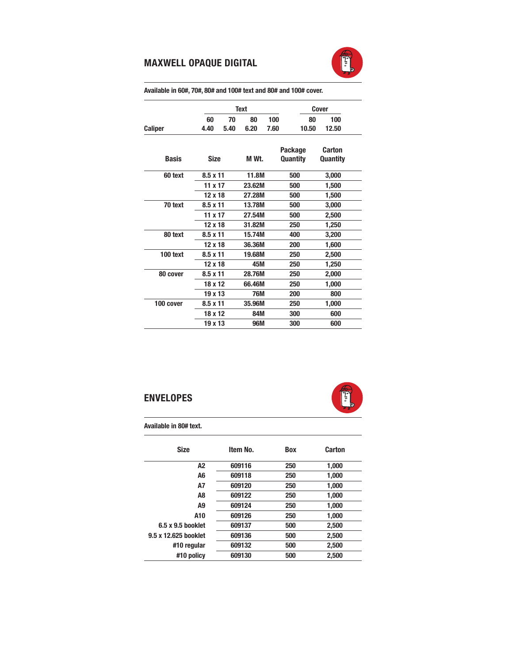## MAXWELL OPAQUE DIGITAL



Text Cover 60 70 80 100 80 100 Caliper 4.40 5.40 6.20 7.60 10.50 12.50 Package Carton Basis Size M Wt. Quantity Quantity 60 text 8.5 x 11 11.8M 500 3,000 11 x 17 23.62M 500 1,500 12 x 18 27.28M 500 1,500 70 text 8.5 x 11 13.78M 500 3,000 11 x 17 27.54M 500 2,500 12 x 18 31.82M 250 1,250 80 text 8.5 x 11 15.74M 400 3,200 12 x 18 36.36M 200 1,600 100 text 8.5 x 11 19.68M 250 2,500 12 x 18 45M 250 1,250 80 cover 8.5 x 11 28.76M 250 2,000 18 x 12 66.46M 250 1,000 19 x 13 76M 200 800 100 cover 8.5 x 11 35.96M 250 1,000 18 x 12 84M 300 600 19 x 13 96M 300 600

## Available in 60#, 70#, 80# and 100# text and 80# and 100# cover.

## ENVELOPES



Available in 80# text.

| <b>Size</b>          | Item No. | <b>Box</b> | Carton |  |
|----------------------|----------|------------|--------|--|
| A2                   | 609116   | 250        | 1,000  |  |
| A6                   | 609118   | 250        | 1,000  |  |
| A7                   | 609120   | 250        | 1,000  |  |
| A8                   | 609122   | 250        | 1,000  |  |
| A9                   | 609124   | 250        | 1,000  |  |
| A10                  | 609126   | 250        | 1.000  |  |
| 6.5 x 9.5 booklet    | 609137   | 500        | 2,500  |  |
| 9.5 x 12.625 booklet | 609136   | 500        | 2,500  |  |
| #10 regular          | 609132   | 500        | 2,500  |  |
| #10 policy           | 609130   | 500        | 2,500  |  |